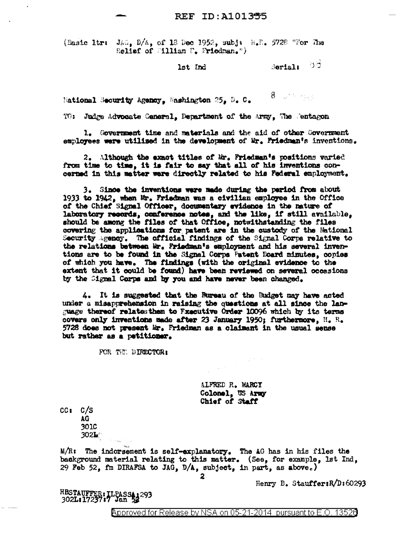(Basic ltr:  $J_A G_s$ ,  $D/A_s$ , of 13 Dec 1952, subj: H.F., 5728 "For The Relief of William F. Friedman.")

lst Ind

Seriali 55

 $8\,$  and the state

National Security Agency, Washington 25, D. C.

TO: Judge Advocate Ceneral. Department of the Army. The Centagon

1. Government time and materials and the aid of other Government employees were utilised in the development of Mr. Friedman's inventions.

2. Although the exact titles of Mr. Friedman's positions varied from time to time, it is fair to say that all of his inventions concerned in this matter were directly related to his Federal employment.

3. Since the inventions were made during the pariod from about 1933 to 1942, when Mr. Friedman was a civilian employee in the Office of the Chief Signal Officer, documentary evidence in the nature of laboratory records, conference notes, and the like, if still available, should be among the files of that Office, notwithstanding the files covering the applications for patent are in the custody of the Mational Security agency. The official findings of the Signal Corps relative to the relations between Mr. Friedman's employment and his several inventions are to be found in the Signal Corps Fatent Board minutes, copies of which you have. The findings (with the original evidence to the extent that it could be found) have been reviewed on several occasions by the Signal Corps and by you and have never been changed.

4. It is suggested that the Bureau of the Budget may have acted under a misapprehension in raising the questions at all since the language thereof relates them to Fxecutive Order 10096 which by its terms covers only inventions made after 23 January 1950; furthermore,  $H_2$ ,  $R_3$ 5728 does not present Mr. Friedman as a claimant in the usual sense but rather as a petitioner.

FOR THE DIRECTOR:

ALFRED R. MARCY Colonel. US Army Chief of Staff

 $CC<sub>3</sub>$   $C/S$ AG

301C  $302<sub>2</sub>$ 

M/R: The indorsement is self-explanatory. The AG has in his files the background material relating to this matter. (See, for example, 1st Ind, 29 Feb 52, fm DIRAFSA to JAG,  $D/A$ , subject, in part, as above.)

Henry B. Stauffer: R/D: 60293

HBSTAUFFER: TLPASSA; 293<br>302L:17237:7 Jan 53

**Approved for Release by NSA on 05-21-2014 pursuant to E.O. 13526**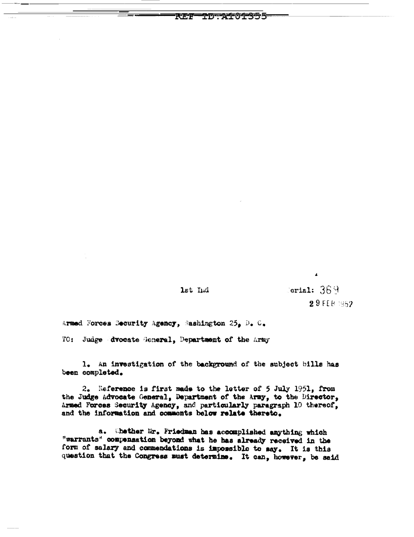lst Lud

TDTATOIRS55

RF.F

 $\delta$  orial:  $369$ 29 FEB 1952

 $\pmb{\Lambda}$ 

Armed Forces Security Agency, Sashington 25, D. C.

TO: Judge dvocate General, Department of the Army

1. An investigation of the background of the subject bills has been completed.

2. Reference is first made to the letter of 5 July 1951, from the Judge Advocate General, Department of the Army, to the Director, Armed Forces Security Agency, and particularly paragraph 10 thereof, and the information and comments below relate thereto.

a. Shether Mr. Friedman has accomplished anything which "warrants" compensation beyond what he has already received in the form of salary and commendations is impossible to say. It is this question that the Congress must determine. It can, however, be said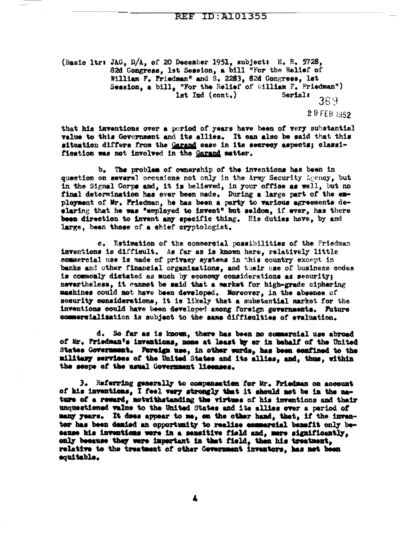(Basic ltr: JAG, D/A, of 20 December 1951, subject: H. R. 5728, 82d Congress, 1st Session, a bill "For the Relief of William F. Friedman" and S. 2263, 62d Congress, lst Session, a bill, "For the Relief of William F. Friedman") lst Ind (cont.) Serial: 369 29 FEB 1952

that his inventions over a period of years have been of very substantial value to this Government and its allies. It can also be said that this situation differs from the Garand case in its secrecy aspects; classification was not involved in the Garand matter.

b. The problem of ownership of the inventions has been in question on several occasions not only in the Army Security Agency, but in the Signal Corps and, it is believed, in your office as well, but no final determination has ever been made. During a large part of the employment of Mr. Friedman, he has been a party to various agreements deelaring that he was "employed to invent" but seldom, if ever, has there been direction to invent any specific thing. His duties have, by and large, been those of a chief cryptologist.

c. Estimation of the commercial possibilities of the Friedman inventions is difficult. As far as is known here, relatively little commercial use is made of privacy systems in this country except in banks and other financial organisations, and their use of business codes is commonly dictated as much by economy considerations as security; nevertheless, it cannot be said that a market for high-grade ciphering machines could not have been developed. Moreover, in the absence of security considerations, it is likely that a substantial market for the inventions could have been developed among foreign governments. Future commercialisation is subject to the same difficulties of evaluation.

d. So far as is known, there has been no commercial use abroad of Mr. Friedman's inventions, none at least by or in behalf of the United States Government. Fereign use, in other words, has been confined to the military services of the United States and its allies, and, thus, within the scope of the usual Government licenses.

3. Referring generally to compensation for Mr. Friedman on account of his inventions, I feel very strongly that it should not be in the nature of a reward, notwithstanding the virtues of his inventions and their unquestioned value to the United States and its allies over a period of many years. It does appear to me, on the other hand, that, if the inventor has been denied an opportunity to realize commercial benefit only because his inventions were in a sensitive field and, more significantly, only because they were important in that field, then his treatment, relative to the treatment of other Government inventors, has not been equitable.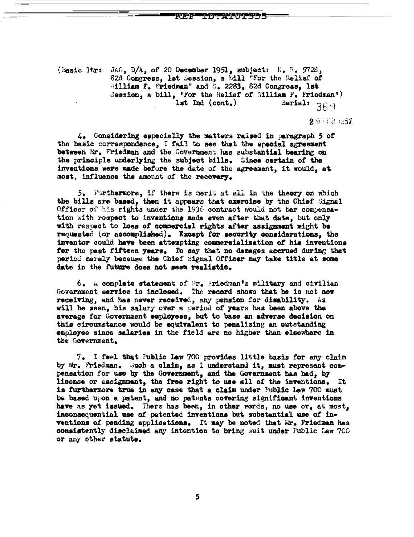## T DTTAT OT SISS

(Basic Itr: JAG, D/A, of 20 December 1951, subject: E. E. 5728, 82d Congress, lst Session, a bill "For the Relief of William F. Friedman" and S. 2283, 82d Congress, 1st Session, a bill, "For the Relief of William F. Friedman") Serial:  $369$  $1st$   $Ind$   $(cont.)$ 

291181952

4. Considering especially the matters raised in paragraph 5 of the basic correspondence, I fail to see that the special agreement between Mr. Friedman and the Government has substantial bearing on the principle underlying the subject bills. Since certain of the inventions were made before the date of the agreement, it would, at most, influence the amount of the recovery.

5. Furthermore, if there is merit at all in the theory on which the bills are based, then it appears that exercise by the Chief Signal Officer of his rights under the 1936 contract would not bar compensation with respect to inventions made even after that date, but only with respect to loss of commercial rights after assignment might be requested (or accomplished). Except for security considerations, the inventor could have been attempting commercialization of his inventions for the past fifteen years. To say that no damages accrued during that period merely because the Chief Signal Officer may take title at some date in the future does not seem realistic.

 $6.$  A complete statement of  $\Re$ r. Friedman's military and civilian Government service is inclosed. The record shows that he is not now receiving, and has never received, any pension for disability. As will be seen, his salary over a period of years has been above the average for Government employees, but to base an adverse decision on this circumstance would be equivalent to penalizing an outstanding employee since salaries in the field are no higher than elsewhere in the Government.

7. I feel that Public Law 700 provides little basis for any claim by Mr. Friedman. Such a claim, as I understand it, must represent compensation for use by the Government, and the Government has had, by license or assignment, the free right to use all of the inventions. It is furthermore true in any case that a claim under Public Law 700 must be based upon a patent, and no patents covering significant inventions have as yet issued. There has been, in other words, no use or, at most, inconsequential use of patented inventions but substantial use of inventions of pending applications. It may be noted that Mr. Friedman has consistently disclaimed any intention to bring suit under Public Law 700 or any other statute.

5